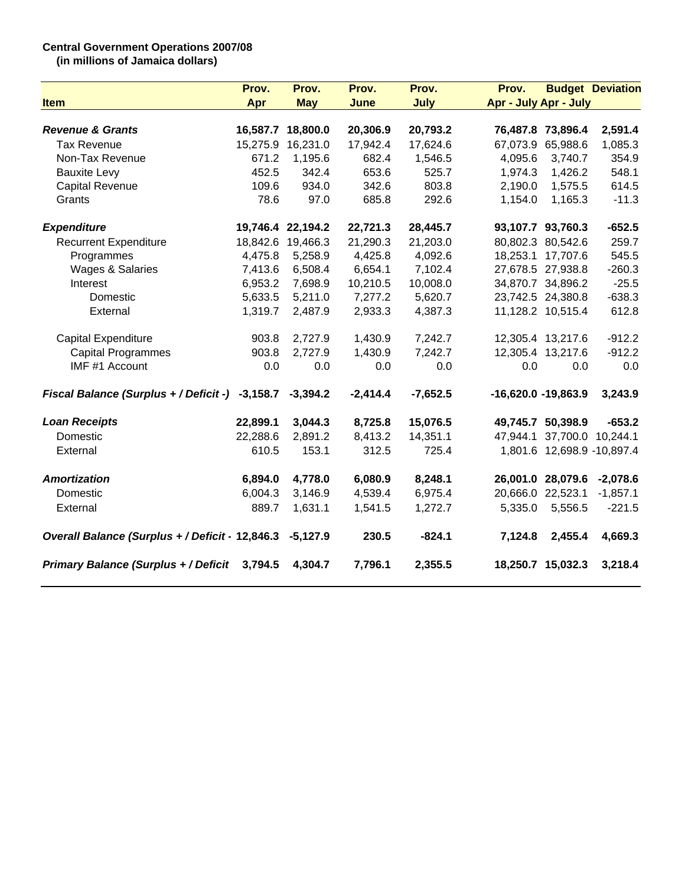## **Central Government Operations 2007/08**

**(in millions of Jamaica dollars)**

|                                                          | Prov.    | Prov.             | Prov.      | Prov.       | Prov.                        |                   | <b>Budget Deviation</b>    |
|----------------------------------------------------------|----------|-------------------|------------|-------------|------------------------------|-------------------|----------------------------|
| <b>Item</b>                                              | Apr      | <b>May</b>        | June       | <b>July</b> | <b>Apr - July Apr - July</b> |                   |                            |
|                                                          |          |                   |            |             |                              |                   |                            |
| <b>Revenue &amp; Grants</b>                              |          | 16,587.7 18,800.0 | 20,306.9   | 20,793.2    |                              | 76,487.8 73,896.4 | 2,591.4                    |
| <b>Tax Revenue</b>                                       |          | 15,275.9 16,231.0 | 17,942.4   | 17,624.6    |                              | 67,073.9 65,988.6 | 1,085.3                    |
| Non-Tax Revenue                                          | 671.2    | 1,195.6           | 682.4      | 1,546.5     | 4,095.6                      | 3,740.7           | 354.9                      |
| <b>Bauxite Levy</b>                                      | 452.5    | 342.4             | 653.6      | 525.7       | 1,974.3                      | 1,426.2           | 548.1                      |
| Capital Revenue                                          | 109.6    | 934.0             | 342.6      | 803.8       | 2,190.0                      | 1,575.5           | 614.5                      |
| Grants                                                   | 78.6     | 97.0              | 685.8      | 292.6       | 1,154.0                      | 1,165.3           | $-11.3$                    |
| <b>Expenditure</b>                                       |          | 19,746.4 22,194.2 | 22,721.3   | 28,445.7    |                              | 93,107.7 93,760.3 | $-652.5$                   |
| <b>Recurrent Expenditure</b>                             |          | 18,842.6 19,466.3 | 21,290.3   | 21,203.0    |                              | 80,802.3 80,542.6 | 259.7                      |
| Programmes                                               | 4,475.8  | 5,258.9           | 4,425.8    | 4,092.6     |                              | 18,253.1 17,707.6 | 545.5                      |
| <b>Wages &amp; Salaries</b>                              | 7,413.6  | 6,508.4           | 6,654.1    | 7,102.4     |                              | 27,678.5 27,938.8 | $-260.3$                   |
| Interest                                                 | 6,953.2  | 7,698.9           | 10,210.5   | 10,008.0    |                              | 34,870.7 34,896.2 | $-25.5$                    |
| Domestic                                                 | 5,633.5  | 5,211.0           | 7,277.2    | 5,620.7     |                              | 23,742.5 24,380.8 | $-638.3$                   |
| External                                                 | 1,319.7  | 2,487.9           | 2,933.3    | 4,387.3     |                              | 11,128.2 10,515.4 | 612.8                      |
| Capital Expenditure                                      | 903.8    | 2,727.9           | 1,430.9    | 7,242.7     |                              | 12,305.4 13,217.6 | $-912.2$                   |
| <b>Capital Programmes</b>                                | 903.8    | 2,727.9           | 1,430.9    | 7,242.7     |                              | 12,305.4 13,217.6 | $-912.2$                   |
| IMF #1 Account                                           | 0.0      | 0.0               | 0.0        | 0.0         | 0.0                          | 0.0               | 0.0                        |
| Fiscal Balance (Surplus + / Deficit -) -3,158.7          |          | $-3,394.2$        | $-2,414.4$ | $-7,652.5$  | $-16,620.0 -19,863.9$        |                   | 3,243.9                    |
| <b>Loan Receipts</b>                                     | 22,899.1 | 3,044.3           | 8,725.8    | 15,076.5    |                              | 49,745.7 50,398.9 | $-653.2$                   |
| Domestic                                                 | 22,288.6 | 2,891.2           | 8,413.2    | 14,351.1    |                              |                   | 47,944.1 37,700.0 10,244.1 |
| External                                                 | 610.5    | 153.1             | 312.5      | 725.4       |                              |                   | 1,801.6 12,698.9 -10,897.4 |
| <b>Amortization</b>                                      | 6,894.0  | 4,778.0           | 6,080.9    | 8,248.1     |                              | 26,001.0 28,079.6 | $-2,078.6$                 |
| Domestic                                                 | 6,004.3  | 3,146.9           | 4,539.4    | 6,975.4     |                              | 20,666.0 22,523.1 | $-1,857.1$                 |
| External                                                 | 889.7    | 1,631.1           | 1,541.5    | 1,272.7     | 5,335.0                      | 5,556.5           | $-221.5$                   |
| Overall Balance (Surplus + / Deficit · 12,846.3 -5,127.9 |          |                   | 230.5      | $-824.1$    | 7,124.8                      | 2,455.4           | 4,669.3                    |
| Primary Balance (Surplus + / Deficit 3,794.5             |          | 4,304.7           | 7,796.1    | 2,355.5     |                              | 18,250.7 15,032.3 | 3,218.4                    |